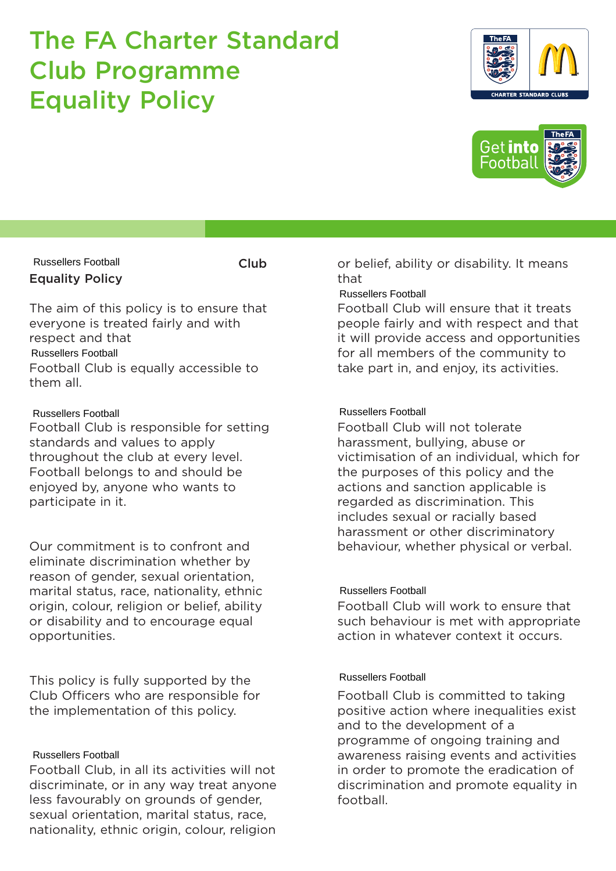# The FA Charter Standard Club Programme Equality Policy





Equality Policy Russellers Football

Club

The aim of this policy is to ensure that everyone is treated fairly and with respect and that Football Club is equally accessible to them all. Russellers Football

## Russellers Football

Football Club is responsible for setting standards and values to apply throughout the club at every level. Football belongs to and should be enjoyed by, anyone who wants to participate in it.

Our commitment is to confront and eliminate discrimination whether by reason of gender, sexual orientation, marital status, race, nationality, ethnic origin, colour, religion or belief, ability or disability and to encourage equal opportunities. The aim of this policy is to ensure that<br>
Russellers Football Club<br>
expect and that<br>
expect and that<br>
Russellers Football Club is equally accessible to<br>
for all member<br>
Russellers Football Club is responsible for setting<br>

This policy is fully supported by the Club Officers who are responsible for the implementation of this policy.

Football Club, in all its activities will not discriminate, or in any way treat anyone less favourably on grounds of gender, sexual orientation, marital status, race, nationality, ethnic origin, colour, religion

or belief, ability or disability. It means that

Football Club will ensure that it treats people fairly and with respect and that it will provide access and opportunities for all members of the community to take part in, and enjoy, its activities.

Football Club will not tolerate harassment, bullying, abuse or victimisation of an individual, which for the purposes of this policy and the actions and sanction applicable is regarded as discrimination. This includes sexual or racially based harassment or other discriminatory behaviour, whether physical or verbal.

Football Club will work to ensure that such behaviour is met with appropriate action in whatever context it occurs.

Football Club is committed to taking positive action where inequalities exist and to the development of a programme of ongoing training and awareness raising events and activities in order to promote the eradication of discrimination and promote equality in football.